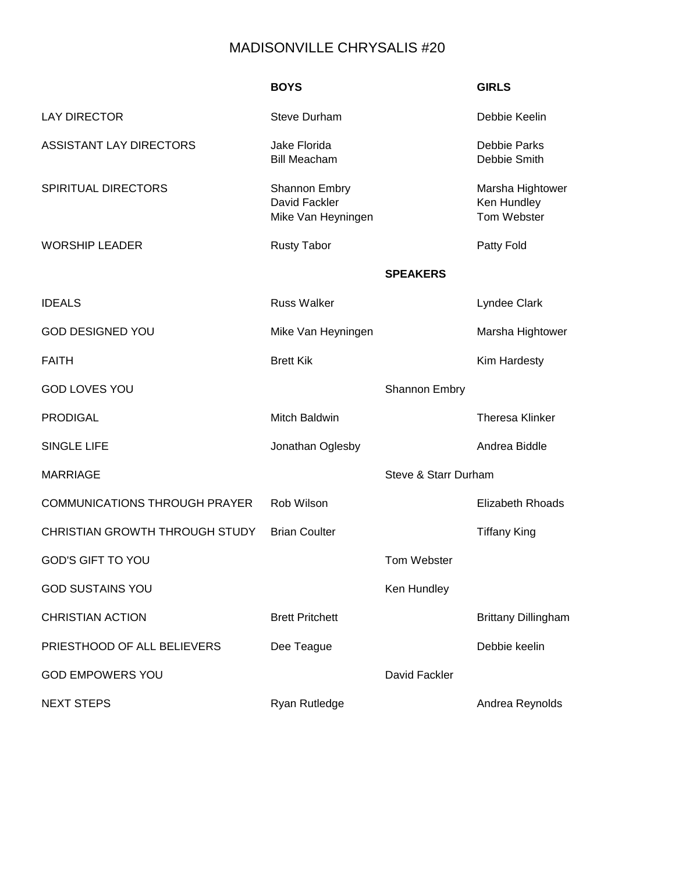## MADISONVILLE CHRYSALIS #20

|                                      | <b>BOYS</b>                                                 |                      | <b>GIRLS</b>                                   |
|--------------------------------------|-------------------------------------------------------------|----------------------|------------------------------------------------|
| <b>LAY DIRECTOR</b>                  | <b>Steve Durham</b>                                         |                      | Debbie Keelin                                  |
| <b>ASSISTANT LAY DIRECTORS</b>       | Jake Florida<br><b>Bill Meacham</b>                         |                      | <b>Debbie Parks</b><br>Debbie Smith            |
| <b>SPIRITUAL DIRECTORS</b>           | <b>Shannon Embry</b><br>David Fackler<br>Mike Van Heyningen |                      | Marsha Hightower<br>Ken Hundley<br>Tom Webster |
| <b>WORSHIP LEADER</b>                | <b>Rusty Tabor</b>                                          |                      | Patty Fold                                     |
|                                      |                                                             | <b>SPEAKERS</b>      |                                                |
| <b>IDEALS</b>                        | <b>Russ Walker</b>                                          |                      | Lyndee Clark                                   |
| <b>GOD DESIGNED YOU</b>              | Mike Van Heyningen                                          |                      | Marsha Hightower                               |
| <b>FAITH</b>                         | <b>Brett Kik</b>                                            |                      | Kim Hardesty                                   |
| <b>GOD LOVES YOU</b>                 |                                                             | <b>Shannon Embry</b> |                                                |
| <b>PRODIGAL</b>                      | Mitch Baldwin                                               |                      | <b>Theresa Klinker</b>                         |
| <b>SINGLE LIFE</b>                   | Jonathan Oglesby                                            |                      | Andrea Biddle                                  |
| <b>MARRIAGE</b>                      |                                                             | Steve & Starr Durham |                                                |
| <b>COMMUNICATIONS THROUGH PRAYER</b> | Rob Wilson                                                  |                      | <b>Elizabeth Rhoads</b>                        |
| CHRISTIAN GROWTH THROUGH STUDY       | <b>Brian Coulter</b>                                        |                      | <b>Tiffany King</b>                            |
| <b>GOD'S GIFT TO YOU</b>             |                                                             | Tom Webster          |                                                |
| <b>GOD SUSTAINS YOU</b>              |                                                             | Ken Hundley          |                                                |
| <b>CHRISTIAN ACTION</b>              | <b>Brett Pritchett</b>                                      |                      | <b>Brittany Dillingham</b>                     |
| PRIESTHOOD OF ALL BELIEVERS          | Dee Teague                                                  |                      | Debbie keelin                                  |
| <b>GOD EMPOWERS YOU</b>              |                                                             | David Fackler        |                                                |
| <b>NEXT STEPS</b>                    | <b>Ryan Rutledge</b>                                        |                      | Andrea Reynolds                                |